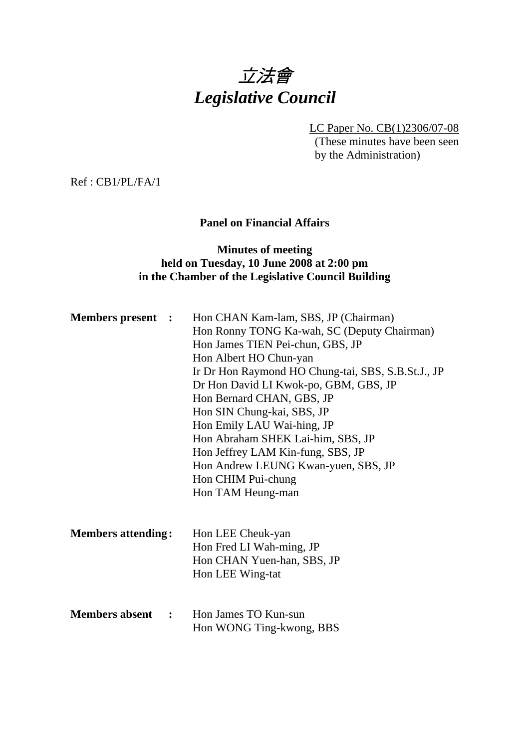# 立法會 *Legislative Council*

LC Paper No. CB(1)2306/07-08

(These minutes have been seen by the Administration)

Ref : CB1/PL/FA/1

## **Panel on Financial Affairs**

### **Minutes of meeting held on Tuesday, 10 June 2008 at 2:00 pm in the Chamber of the Legislative Council Building**

| <b>Members present :</b>               | Hon CHAN Kam-lam, SBS, JP (Chairman)<br>Hon Ronny TONG Ka-wah, SC (Deputy Chairman)<br>Hon James TIEN Pei-chun, GBS, JP<br>Hon Albert HO Chun-yan<br>Ir Dr Hon Raymond HO Chung-tai, SBS, S.B.St.J., JP<br>Dr Hon David LI Kwok-po, GBM, GBS, JP<br>Hon Bernard CHAN, GBS, JP<br>Hon SIN Chung-kai, SBS, JP<br>Hon Emily LAU Wai-hing, JP<br>Hon Abraham SHEK Lai-him, SBS, JP<br>Hon Jeffrey LAM Kin-fung, SBS, JP<br>Hon Andrew LEUNG Kwan-yuen, SBS, JP<br>Hon CHIM Pui-chung<br>Hon TAM Heung-man |
|----------------------------------------|-------------------------------------------------------------------------------------------------------------------------------------------------------------------------------------------------------------------------------------------------------------------------------------------------------------------------------------------------------------------------------------------------------------------------------------------------------------------------------------------------------|
| <b>Members attending:</b>              | Hon LEE Cheuk-yan<br>Hon Fred LI Wah-ming, JP<br>Hon CHAN Yuen-han, SBS, JP<br>Hon LEE Wing-tat                                                                                                                                                                                                                                                                                                                                                                                                       |
| <b>Members absent</b><br>$\sim$ $\sim$ | Hon James TO Kun-sun<br>Hon WONG Ting-kwong, BBS                                                                                                                                                                                                                                                                                                                                                                                                                                                      |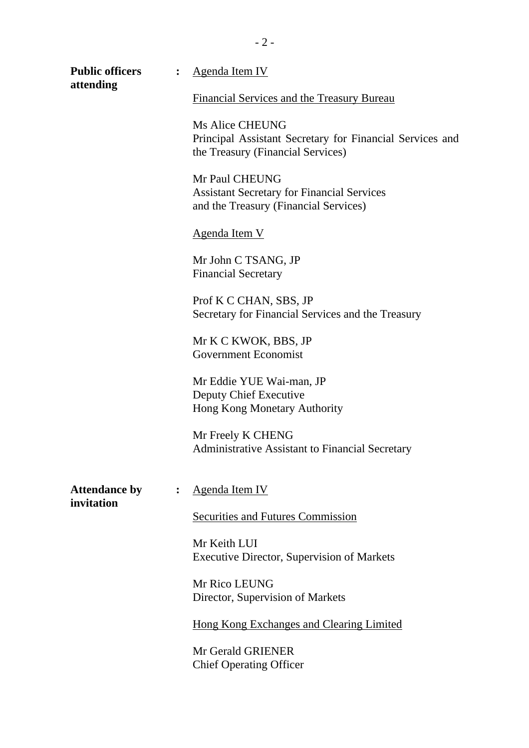| <b>Public officers</b><br>attending |                | <b>Agenda Item IV</b><br>Financial Services and the Treasury Bureau                                                     |  |
|-------------------------------------|----------------|-------------------------------------------------------------------------------------------------------------------------|--|
|                                     |                |                                                                                                                         |  |
|                                     |                | <b>Ms Alice CHEUNG</b><br>Principal Assistant Secretary for Financial Services and<br>the Treasury (Financial Services) |  |
|                                     |                | Mr Paul CHEUNG<br><b>Assistant Secretary for Financial Services</b><br>and the Treasury (Financial Services)            |  |
|                                     |                | <b>Agenda Item V</b>                                                                                                    |  |
|                                     |                | Mr John C TSANG, JP<br><b>Financial Secretary</b>                                                                       |  |
|                                     |                | Prof K C CHAN, SBS, JP<br>Secretary for Financial Services and the Treasury                                             |  |
|                                     |                | Mr K C KWOK, BBS, JP<br><b>Government Economist</b>                                                                     |  |
|                                     |                | Mr Eddie YUE Wai-man, JP<br>Deputy Chief Executive<br>Hong Kong Monetary Authority                                      |  |
|                                     |                | Mr Freely K CHENG<br><b>Administrative Assistant to Financial Secretary</b>                                             |  |
| <b>Attendance by</b><br>invitation  | $\ddot{\cdot}$ | Agenda Item IV                                                                                                          |  |
|                                     |                | Securities and Futures Commission                                                                                       |  |
|                                     |                | Mr Keith LUI<br><b>Executive Director, Supervision of Markets</b>                                                       |  |
|                                     |                | Mr Rico LEUNG<br>Director, Supervision of Markets                                                                       |  |
|                                     |                | Hong Kong Exchanges and Clearing Limited                                                                                |  |
|                                     |                | Mr Gerald GRIENER<br><b>Chief Operating Officer</b>                                                                     |  |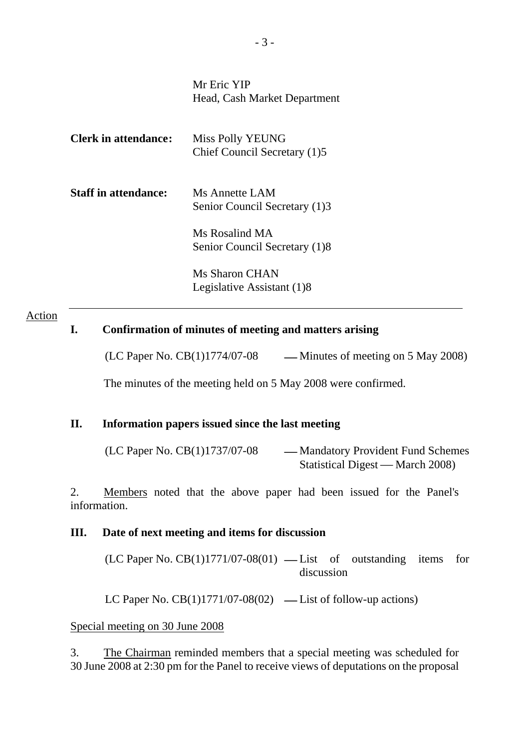| Mr Eric YIP<br>Head, Cash Market Department      |
|--------------------------------------------------|
| Miss Polly YEUNG<br>Chief Council Secretary (1)5 |
| Ms Annette LAM<br>Senior Council Secretary (1)3  |
| Ms Rosalind MA<br>Senior Council Secretary (1)8  |
| Ms Sharon CHAN<br>Legislative Assistant (1)8     |
|                                                  |

#### Action

## **I. Confirmation of minutes of meeting and matters arising**

 $(LC$  Paper No.  $CB(1)1774/07-08$  — Minutes of meeting on 5 May 2008)

The minutes of the meeting held on 5 May 2008 were confirmed.

#### **II. Information papers issued since the last meeting**

| (LC Paper No. CB(1)1737/07-08 | — Mandatory Provident Fund Schemes |
|-------------------------------|------------------------------------|
|                               | Statistical Digest — March 2008)   |

2. Members noted that the above paper had been issued for the Panel's information.

#### **III. Date of next meeting and items for discussion**

 $(LC$  Paper No.  $CB(1)1771/07-08(01)$  — List of outstanding items for discussion

LC Paper No.  $CB(1)1771/07-08(02)$  — List of follow-up actions)

Special meeting on 30 June 2008

3. The Chairman reminded members that a special meeting was scheduled for 30 June 2008 at 2:30 pm for the Panel to receive views of deputations on the proposal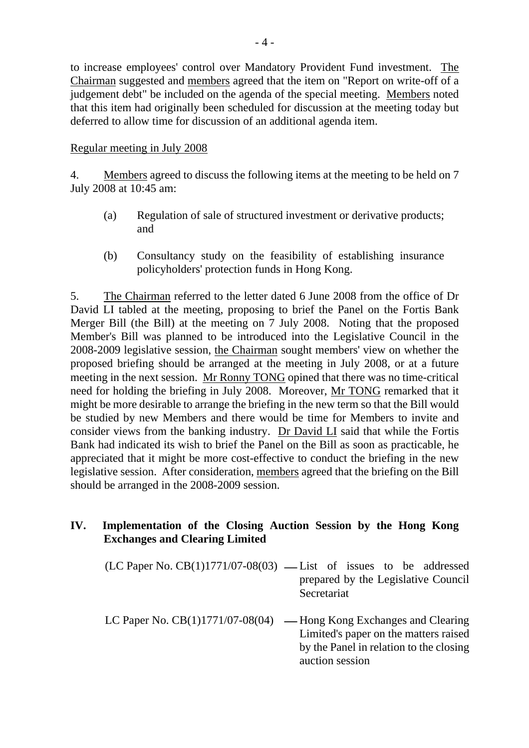to increase employees' control over Mandatory Provident Fund investment. The Chairman suggested and members agreed that the item on "Report on write-off of a judgement debt" be included on the agenda of the special meeting. Members noted that this item had originally been scheduled for discussion at the meeting today but deferred to allow time for discussion of an additional agenda item.

## Regular meeting in July 2008

4. Members agreed to discuss the following items at the meeting to be held on 7 July 2008 at 10:45 am:

- (a) Regulation of sale of structured investment or derivative products; and
- (b) Consultancy study on the feasibility of establishing insurance policyholders' protection funds in Hong Kong.

5. The Chairman referred to the letter dated 6 June 2008 from the office of Dr David LI tabled at the meeting, proposing to brief the Panel on the Fortis Bank Merger Bill (the Bill) at the meeting on 7 July 2008. Noting that the proposed Member's Bill was planned to be introduced into the Legislative Council in the 2008-2009 legislative session, the Chairman sought members' view on whether the proposed briefing should be arranged at the meeting in July 2008, or at a future meeting in the next session. Mr Ronny TONG opined that there was no time-critical need for holding the briefing in July 2008. Moreover, Mr TONG remarked that it might be more desirable to arrange the briefing in the new term so that the Bill would be studied by new Members and there would be time for Members to invite and consider views from the banking industry. Dr David LI said that while the Fortis Bank had indicated its wish to brief the Panel on the Bill as soon as practicable, he appreciated that it might be more cost-effective to conduct the briefing in the new legislative session. After consideration, members agreed that the briefing on the Bill should be arranged in the 2008-2009 session.

## **IV. Implementation of the Closing Auction Session by the Hong Kong Exchanges and Clearing Limited**

- $(LC$  Paper No.  $CB(1)1771/07-08(03)$  List of issues to be addressed prepared by the Legislative Council Secretariat
- LC Paper No.  $CB(1)1771/07-08(04)$  Hong Kong Exchanges and Clearing Limited's paper on the matters raised by the Panel in relation to the closing auction session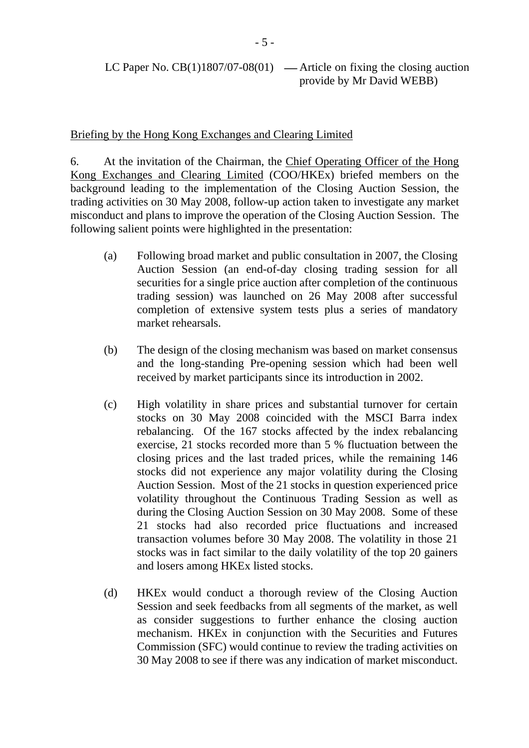## Briefing by the Hong Kong Exchanges and Clearing Limited

6. At the invitation of the Chairman, the Chief Operating Officer of the Hong Kong Exchanges and Clearing Limited (COO/HKEx) briefed members on the background leading to the implementation of the Closing Auction Session, the trading activities on 30 May 2008, follow-up action taken to investigate any market misconduct and plans to improve the operation of the Closing Auction Session. The following salient points were highlighted in the presentation:

- (a) Following broad market and public consultation in 2007, the Closing Auction Session (an end-of-day closing trading session for all securities for a single price auction after completion of the continuous trading session) was launched on 26 May 2008 after successful completion of extensive system tests plus a series of mandatory market rehearsals.
- (b) The design of the closing mechanism was based on market consensus and the long-standing Pre-opening session which had been well received by market participants since its introduction in 2002.
- (c) High volatility in share prices and substantial turnover for certain stocks on 30 May 2008 coincided with the MSCI Barra index rebalancing. Of the 167 stocks affected by the index rebalancing exercise, 21 stocks recorded more than 5 % fluctuation between the closing prices and the last traded prices, while the remaining 146 stocks did not experience any major volatility during the Closing Auction Session. Most of the 21 stocks in question experienced price volatility throughout the Continuous Trading Session as well as during the Closing Auction Session on 30 May 2008. Some of these 21 stocks had also recorded price fluctuations and increased transaction volumes before 30 May 2008. The volatility in those 21 stocks was in fact similar to the daily volatility of the top 20 gainers and losers among HKEx listed stocks.
- (d) HKEx would conduct a thorough review of the Closing Auction Session and seek feedbacks from all segments of the market, as well as consider suggestions to further enhance the closing auction mechanism. HKEx in conjunction with the Securities and Futures Commission (SFC) would continue to review the trading activities on 30 May 2008 to see if there was any indication of market misconduct.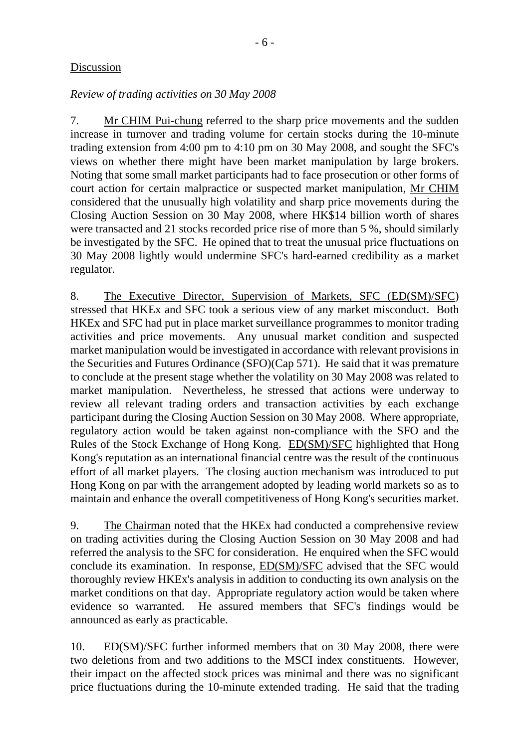## Discussion

## *Review of trading activities on 30 May 2008*

7. Mr CHIM Pui-chung referred to the sharp price movements and the sudden increase in turnover and trading volume for certain stocks during the 10-minute trading extension from 4:00 pm to 4:10 pm on 30 May 2008, and sought the SFC's views on whether there might have been market manipulation by large brokers. Noting that some small market participants had to face prosecution or other forms of court action for certain malpractice or suspected market manipulation, Mr CHIM considered that the unusually high volatility and sharp price movements during the Closing Auction Session on 30 May 2008, where HK\$14 billion worth of shares were transacted and 21 stocks recorded price rise of more than 5 %, should similarly be investigated by the SFC. He opined that to treat the unusual price fluctuations on 30 May 2008 lightly would undermine SFC's hard-earned credibility as a market regulator.

8. The Executive Director, Supervision of Markets, SFC (ED(SM)/SFC) stressed that HKEx and SFC took a serious view of any market misconduct. Both HKEx and SFC had put in place market surveillance programmes to monitor trading activities and price movements. Any unusual market condition and suspected market manipulation would be investigated in accordance with relevant provisions in the Securities and Futures Ordinance (SFO)(Cap 571). He said that it was premature to conclude at the present stage whether the volatility on 30 May 2008 was related to market manipulation. Nevertheless, he stressed that actions were underway to review all relevant trading orders and transaction activities by each exchange participant during the Closing Auction Session on 30 May 2008. Where appropriate, regulatory action would be taken against non-compliance with the SFO and the Rules of the Stock Exchange of Hong Kong. ED(SM)/SFC highlighted that Hong Kong's reputation as an international financial centre was the result of the continuous effort of all market players. The closing auction mechanism was introduced to put Hong Kong on par with the arrangement adopted by leading world markets so as to maintain and enhance the overall competitiveness of Hong Kong's securities market.

9. The Chairman noted that the HKEx had conducted a comprehensive review on trading activities during the Closing Auction Session on 30 May 2008 and had referred the analysis to the SFC for consideration. He enquired when the SFC would conclude its examination. In response, ED(SM)/SFC advised that the SFC would thoroughly review HKEx's analysis in addition to conducting its own analysis on the market conditions on that day. Appropriate regulatory action would be taken where evidence so warranted. He assured members that SFC's findings would be announced as early as practicable.

10. ED(SM)/SFC further informed members that on 30 May 2008, there were two deletions from and two additions to the MSCI index constituents. However, their impact on the affected stock prices was minimal and there was no significant price fluctuations during the 10-minute extended trading. He said that the trading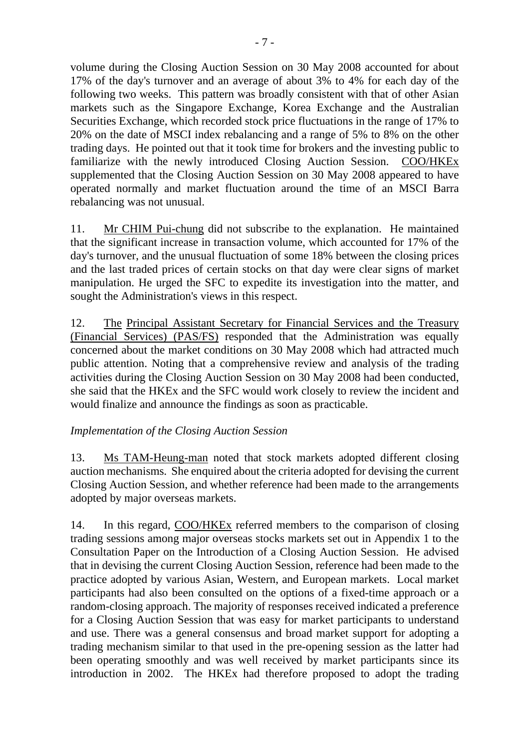volume during the Closing Auction Session on 30 May 2008 accounted for about 17% of the day's turnover and an average of about 3% to 4% for each day of the following two weeks. This pattern was broadly consistent with that of other Asian markets such as the Singapore Exchange, Korea Exchange and the Australian Securities Exchange, which recorded stock price fluctuations in the range of 17% to 20% on the date of MSCI index rebalancing and a range of 5% to 8% on the other trading days. He pointed out that it took time for brokers and the investing public to familiarize with the newly introduced Closing Auction Session. COO/HKEx supplemented that the Closing Auction Session on 30 May 2008 appeared to have operated normally and market fluctuation around the time of an MSCI Barra rebalancing was not unusual.

11. Mr CHIM Pui-chung did not subscribe to the explanation. He maintained that the significant increase in transaction volume, which accounted for 17% of the day's turnover, and the unusual fluctuation of some 18% between the closing prices and the last traded prices of certain stocks on that day were clear signs of market manipulation. He urged the SFC to expedite its investigation into the matter, and sought the Administration's views in this respect.

12. The Principal Assistant Secretary for Financial Services and the Treasury (Financial Services) (PAS/FS) responded that the Administration was equally concerned about the market conditions on 30 May 2008 which had attracted much public attention. Noting that a comprehensive review and analysis of the trading activities during the Closing Auction Session on 30 May 2008 had been conducted, she said that the HKEx and the SFC would work closely to review the incident and would finalize and announce the findings as soon as practicable.

## *Implementation of the Closing Auction Session*

13. Ms TAM-Heung-man noted that stock markets adopted different closing auction mechanisms. She enquired about the criteria adopted for devising the current Closing Auction Session, and whether reference had been made to the arrangements adopted by major overseas markets.

14. In this regard, COO/HKEx referred members to the comparison of closing trading sessions among major overseas stocks markets set out in Appendix 1 to the Consultation Paper on the Introduction of a Closing Auction Session. He advised that in devising the current Closing Auction Session, reference had been made to the practice adopted by various Asian, Western, and European markets. Local market participants had also been consulted on the options of a fixed-time approach or a random-closing approach. The majority of responses received indicated a preference for a Closing Auction Session that was easy for market participants to understand and use. There was a general consensus and broad market support for adopting a trading mechanism similar to that used in the pre-opening session as the latter had been operating smoothly and was well received by market participants since its introduction in 2002. The HKEx had therefore proposed to adopt the trading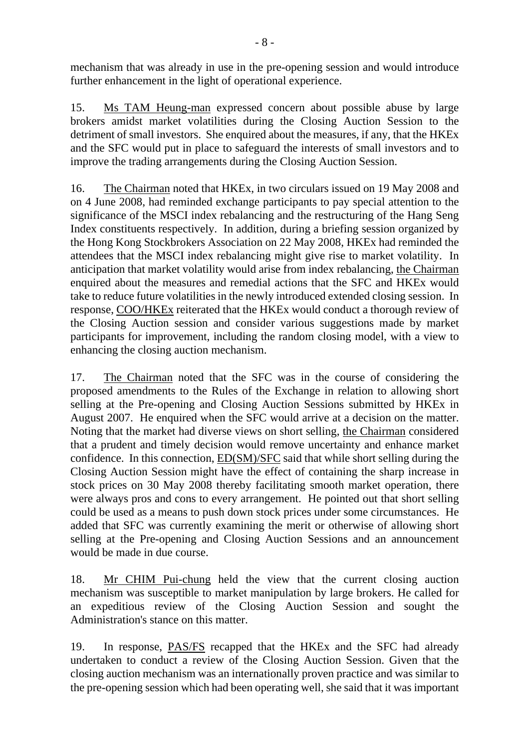mechanism that was already in use in the pre-opening session and would introduce further enhancement in the light of operational experience.

15. Ms TAM Heung-man expressed concern about possible abuse by large brokers amidst market volatilities during the Closing Auction Session to the detriment of small investors. She enquired about the measures, if any, that the HKEx and the SFC would put in place to safeguard the interests of small investors and to improve the trading arrangements during the Closing Auction Session.

16. The Chairman noted that HKEx, in two circulars issued on 19 May 2008 and on 4 June 2008, had reminded exchange participants to pay special attention to the significance of the MSCI index rebalancing and the restructuring of the Hang Seng Index constituents respectively. In addition, during a briefing session organized by the Hong Kong Stockbrokers Association on 22 May 2008, HKEx had reminded the attendees that the MSCI index rebalancing might give rise to market volatility. In anticipation that market volatility would arise from index rebalancing, the Chairman enquired about the measures and remedial actions that the SFC and HKEx would take to reduce future volatilities in the newly introduced extended closing session. In response, COO/HKEx reiterated that the HKEx would conduct a thorough review of the Closing Auction session and consider various suggestions made by market participants for improvement, including the random closing model, with a view to enhancing the closing auction mechanism.

17. The Chairman noted that the SFC was in the course of considering the proposed amendments to the Rules of the Exchange in relation to allowing short selling at the Pre-opening and Closing Auction Sessions submitted by HKEx in August 2007. He enquired when the SFC would arrive at a decision on the matter. Noting that the market had diverse views on short selling, the Chairman considered that a prudent and timely decision would remove uncertainty and enhance market confidence. In this connection, ED(SM)/SFC said that while short selling during the Closing Auction Session might have the effect of containing the sharp increase in stock prices on 30 May 2008 thereby facilitating smooth market operation, there were always pros and cons to every arrangement. He pointed out that short selling could be used as a means to push down stock prices under some circumstances. He added that SFC was currently examining the merit or otherwise of allowing short selling at the Pre-opening and Closing Auction Sessions and an announcement would be made in due course.

18. Mr CHIM Pui-chung held the view that the current closing auction mechanism was susceptible to market manipulation by large brokers. He called for an expeditious review of the Closing Auction Session and sought the Administration's stance on this matter.

19. In response, PAS/FS recapped that the HKEx and the SFC had already undertaken to conduct a review of the Closing Auction Session. Given that the closing auction mechanism was an internationally proven practice and was similar to the pre-opening session which had been operating well, she said that it was important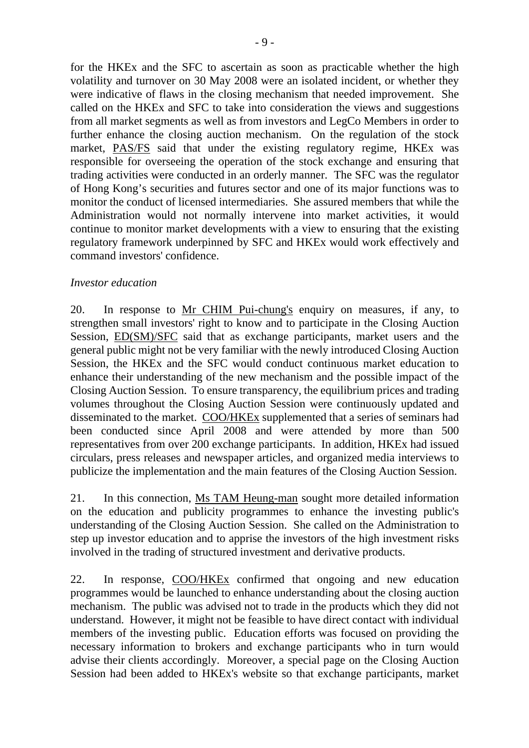for the HKEx and the SFC to ascertain as soon as practicable whether the high volatility and turnover on 30 May 2008 were an isolated incident, or whether they were indicative of flaws in the closing mechanism that needed improvement. She called on the HKEx and SFC to take into consideration the views and suggestions from all market segments as well as from investors and LegCo Members in order to further enhance the closing auction mechanism. On the regulation of the stock market, PAS/FS said that under the existing regulatory regime, HKEx was responsible for overseeing the operation of the stock exchange and ensuring that trading activities were conducted in an orderly manner. The SFC was the regulator of Hong Kong's securities and futures sector and one of its major functions was to monitor the conduct of licensed intermediaries. She assured members that while the Administration would not normally intervene into market activities, it would continue to monitor market developments with a view to ensuring that the existing regulatory framework underpinned by SFC and HKEx would work effectively and command investors' confidence.

### *Investor education*

20. In response to Mr CHIM Pui-chung's enquiry on measures, if any, to strengthen small investors' right to know and to participate in the Closing Auction Session, ED(SM)/SFC said that as exchange participants, market users and the general public might not be very familiar with the newly introduced Closing Auction Session, the HKEx and the SFC would conduct continuous market education to enhance their understanding of the new mechanism and the possible impact of the Closing Auction Session. To ensure transparency, the equilibrium prices and trading volumes throughout the Closing Auction Session were continuously updated and disseminated to the market. COO/HKEx supplemented that a series of seminars had been conducted since April 2008 and were attended by more than 500 representatives from over 200 exchange participants. In addition, HKEx had issued circulars, press releases and newspaper articles, and organized media interviews to publicize the implementation and the main features of the Closing Auction Session.

21. In this connection, Ms TAM Heung-man sought more detailed information on the education and publicity programmes to enhance the investing public's understanding of the Closing Auction Session. She called on the Administration to step up investor education and to apprise the investors of the high investment risks involved in the trading of structured investment and derivative products.

22. In response, COO/HKEx confirmed that ongoing and new education programmes would be launched to enhance understanding about the closing auction mechanism. The public was advised not to trade in the products which they did not understand. However, it might not be feasible to have direct contact with individual members of the investing public. Education efforts was focused on providing the necessary information to brokers and exchange participants who in turn would advise their clients accordingly. Moreover, a special page on the Closing Auction Session had been added to HKEx's website so that exchange participants, market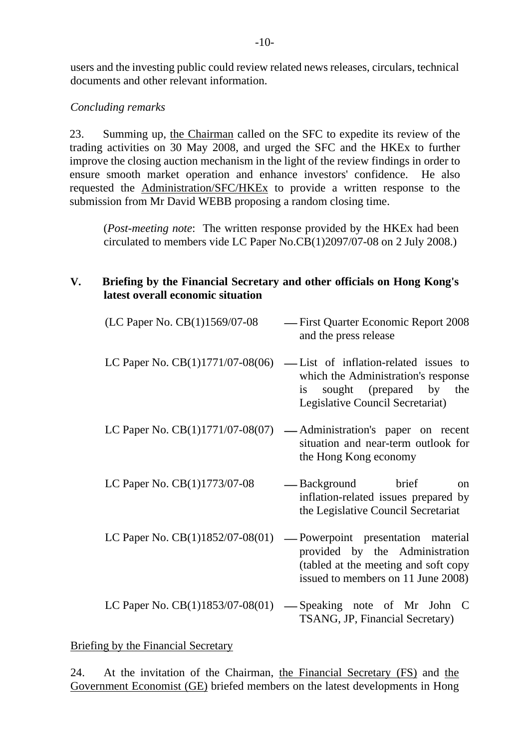users and the investing public could review related news releases, circulars, technical documents and other relevant information.

## *Concluding remarks*

23. Summing up, the Chairman called on the SFC to expedite its review of the trading activities on 30 May 2008, and urged the SFC and the HKEx to further improve the closing auction mechanism in the light of the review findings in order to ensure smooth market operation and enhance investors' confidence. He also requested the Administration/SFC/HKEx to provide a written response to the submission from Mr David WEBB proposing a random closing time.

(*Post-meeting note*: The written response provided by the HKEx had been circulated to members vide LC Paper No.CB(1)2097/07-08 on 2 July 2008.)

## **V. Briefing by the Financial Secretary and other officials on Hong Kong's latest overall economic situation**

| (LC Paper No. CB(1)1569/07-08      | -First Quarter Economic Report 2008<br>and the press release                                                                                      |
|------------------------------------|---------------------------------------------------------------------------------------------------------------------------------------------------|
| LC Paper No. $CB(1)1771/07-08(06)$ | -List of inflation-related issues to<br>which the Administration's response<br>sought (prepared by the<br>1S<br>Legislative Council Secretariat)  |
| LC Paper No. $CB(1)1771/07-08(07)$ | -Administration's paper on recent<br>situation and near-term outlook for<br>the Hong Kong economy                                                 |
| LC Paper No. $CB(1)1773/07-08$     | -Background brief<br><sub>on</sub><br>inflation-related issues prepared by<br>the Legislative Council Secretariat                                 |
| LC Paper No. $CB(1)1852/07-08(01)$ | -Powerpoint presentation material<br>provided by the Administration<br>(tabled at the meeting and soft copy<br>issued to members on 11 June 2008) |
| LC Paper No. $CB(1)1853/07-08(01)$ | -Speaking note of Mr John C<br>TSANG, JP, Financial Secretary)                                                                                    |

Briefing by the Financial Secretary

24. At the invitation of the Chairman, the Financial Secretary (FS) and the Government Economist (GE) briefed members on the latest developments in Hong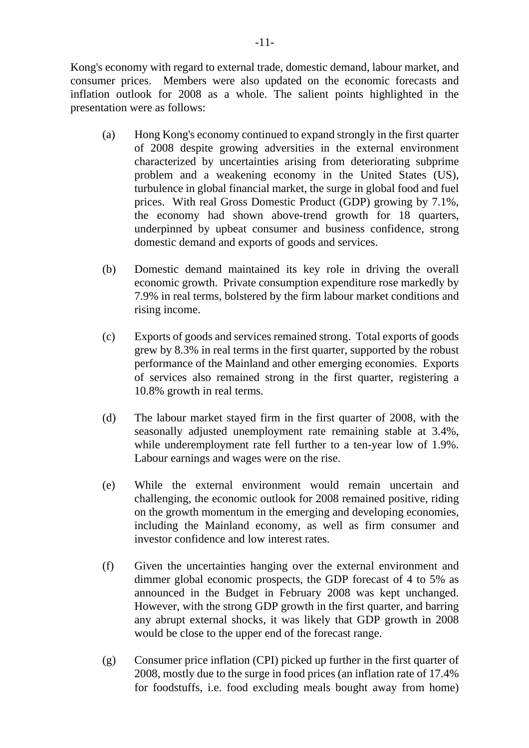Kong's economy with regard to external trade, domestic demand, labour market, and consumer prices. Members were also updated on the economic forecasts and inflation outlook for 2008 as a whole. The salient points highlighted in the presentation were as follows:

- (a) Hong Kong's economy continued to expand strongly in the first quarter of 2008 despite growing adversities in the external environment characterized by uncertainties arising from deteriorating subprime problem and a weakening economy in the United States (US), turbulence in global financial market, the surge in global food and fuel prices. With real Gross Domestic Product (GDP) growing by 7.1%, the economy had shown above-trend growth for 18 quarters, underpinned by upbeat consumer and business confidence, strong domestic demand and exports of goods and services.
- (b) Domestic demand maintained its key role in driving the overall economic growth. Private consumption expenditure rose markedly by 7.9% in real terms, bolstered by the firm labour market conditions and rising income.
- (c) Exports of goods and services remained strong. Total exports of goods grew by 8.3% in real terms in the first quarter, supported by the robust performance of the Mainland and other emerging economies. Exports of services also remained strong in the first quarter, registering a 10.8% growth in real terms.
- (d) The labour market stayed firm in the first quarter of 2008, with the seasonally adjusted unemployment rate remaining stable at 3.4%, while underemployment rate fell further to a ten-year low of 1.9%. Labour earnings and wages were on the rise.
- (e) While the external environment would remain uncertain and challenging, the economic outlook for 2008 remained positive, riding on the growth momentum in the emerging and developing economies, including the Mainland economy, as well as firm consumer and investor confidence and low interest rates.
- (f) Given the uncertainties hanging over the external environment and dimmer global economic prospects, the GDP forecast of 4 to 5% as announced in the Budget in February 2008 was kept unchanged. However, with the strong GDP growth in the first quarter, and barring any abrupt external shocks, it was likely that GDP growth in 2008 would be close to the upper end of the forecast range.
- (g) Consumer price inflation (CPI) picked up further in the first quarter of 2008, mostly due to the surge in food prices (an inflation rate of 17.4% for foodstuffs, i.e. food excluding meals bought away from home)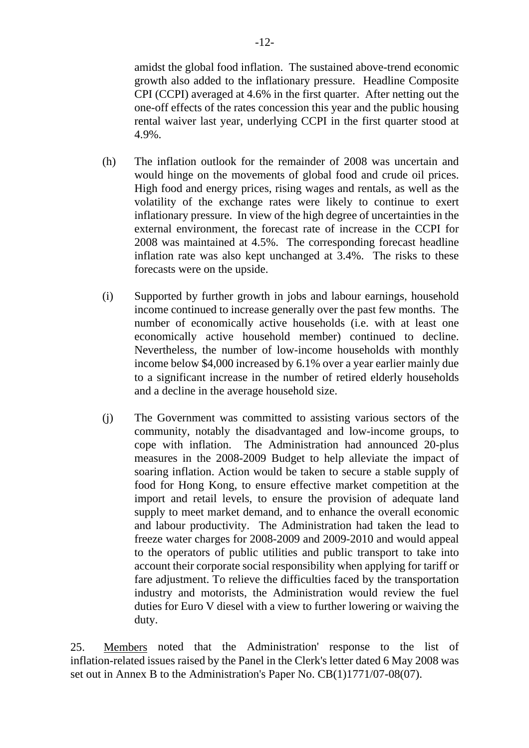amidst the global food inflation. The sustained above-trend economic growth also added to the inflationary pressure. Headline Composite CPI (CCPI) averaged at 4.6% in the first quarter. After netting out the one-off effects of the rates concession this year and the public housing rental waiver last year, underlying CCPI in the first quarter stood at 4.9%.

- (h) The inflation outlook for the remainder of 2008 was uncertain and would hinge on the movements of global food and crude oil prices. High food and energy prices, rising wages and rentals, as well as the volatility of the exchange rates were likely to continue to exert inflationary pressure. In view of the high degree of uncertainties in the external environment, the forecast rate of increase in the CCPI for 2008 was maintained at 4.5%. The corresponding forecast headline inflation rate was also kept unchanged at 3.4%. The risks to these forecasts were on the upside.
- (i) Supported by further growth in jobs and labour earnings, household income continued to increase generally over the past few months. The number of economically active households (i.e. with at least one economically active household member) continued to decline. Nevertheless, the number of low-income households with monthly income below \$4,000 increased by 6.1% over a year earlier mainly due to a significant increase in the number of retired elderly households and a decline in the average household size.
- (j) The Government was committed to assisting various sectors of the community, notably the disadvantaged and low-income groups, to cope with inflation. The Administration had announced 20-plus measures in the 2008-2009 Budget to help alleviate the impact of soaring inflation. Action would be taken to secure a stable supply of food for Hong Kong, to ensure effective market competition at the import and retail levels, to ensure the provision of adequate land supply to meet market demand, and to enhance the overall economic and labour productivity. The Administration had taken the lead to freeze water charges for 2008-2009 and 2009-2010 and would appeal to the operators of public utilities and public transport to take into account their corporate social responsibility when applying for tariff or fare adjustment. To relieve the difficulties faced by the transportation industry and motorists, the Administration would review the fuel duties for Euro V diesel with a view to further lowering or waiving the duty.

25. Members noted that the Administration' response to the list of inflation-related issues raised by the Panel in the Clerk's letter dated 6 May 2008 was set out in Annex B to the Administration's Paper No. CB(1)1771/07-08(07).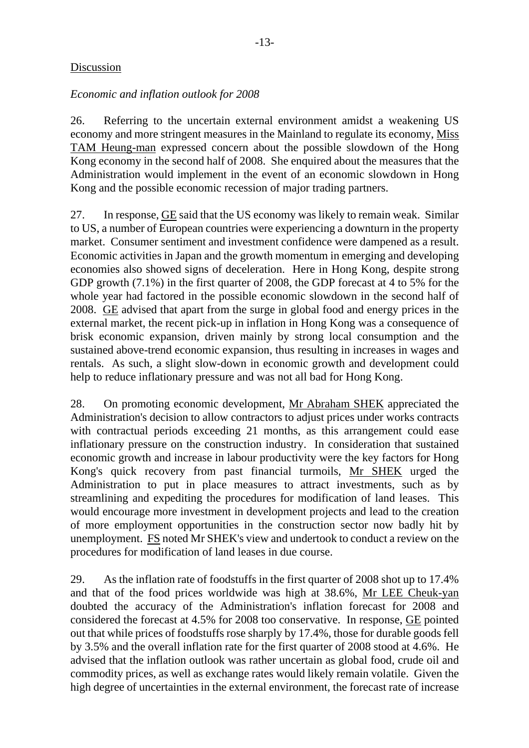## Discussion

## *Economic and inflation outlook for 2008*

26. Referring to the uncertain external environment amidst a weakening US economy and more stringent measures in the Mainland to regulate its economy, Miss TAM Heung-man expressed concern about the possible slowdown of the Hong Kong economy in the second half of 2008. She enquired about the measures that the Administration would implement in the event of an economic slowdown in Hong Kong and the possible economic recession of major trading partners.

27. In response, GE said that the US economy was likely to remain weak. Similar to US, a number of European countries were experiencing a downturn in the property market. Consumer sentiment and investment confidence were dampened as a result. Economic activities in Japan and the growth momentum in emerging and developing economies also showed signs of deceleration. Here in Hong Kong, despite strong GDP growth (7.1%) in the first quarter of 2008, the GDP forecast at 4 to 5% for the whole year had factored in the possible economic slowdown in the second half of 2008. GE advised that apart from the surge in global food and energy prices in the external market, the recent pick-up in inflation in Hong Kong was a consequence of brisk economic expansion, driven mainly by strong local consumption and the sustained above-trend economic expansion, thus resulting in increases in wages and rentals. As such, a slight slow-down in economic growth and development could help to reduce inflationary pressure and was not all bad for Hong Kong.

28. On promoting economic development, Mr Abraham SHEK appreciated the Administration's decision to allow contractors to adjust prices under works contracts with contractual periods exceeding 21 months, as this arrangement could ease inflationary pressure on the construction industry. In consideration that sustained economic growth and increase in labour productivity were the key factors for Hong Kong's quick recovery from past financial turmoils, Mr SHEK urged the Administration to put in place measures to attract investments, such as by streamlining and expediting the procedures for modification of land leases. This would encourage more investment in development projects and lead to the creation of more employment opportunities in the construction sector now badly hit by unemployment. FS noted Mr SHEK's view and undertook to conduct a review on the procedures for modification of land leases in due course.

29. As the inflation rate of foodstuffs in the first quarter of 2008 shot up to 17.4% and that of the food prices worldwide was high at 38.6%, Mr LEE Cheuk-yan doubted the accuracy of the Administration's inflation forecast for 2008 and considered the forecast at 4.5% for 2008 too conservative. In response, GE pointed out that while prices of foodstuffs rose sharply by 17.4%, those for durable goods fell by 3.5% and the overall inflation rate for the first quarter of 2008 stood at 4.6%. He advised that the inflation outlook was rather uncertain as global food, crude oil and commodity prices, as well as exchange rates would likely remain volatile. Given the high degree of uncertainties in the external environment, the forecast rate of increase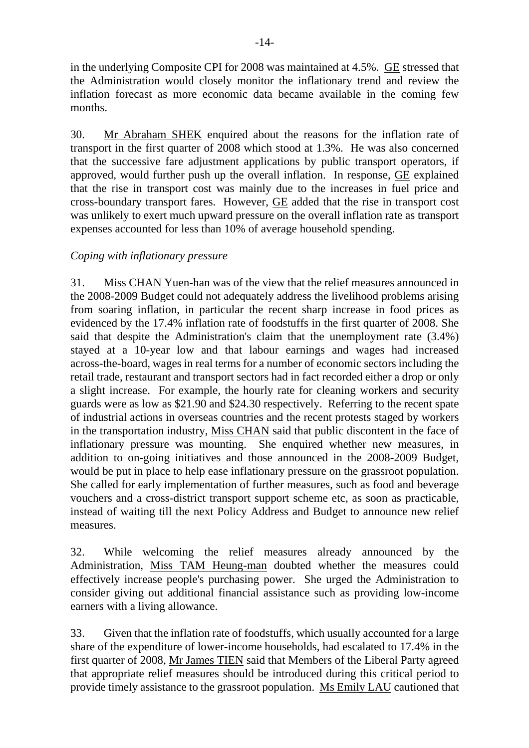in the underlying Composite CPI for 2008 was maintained at 4.5%. GE stressed that the Administration would closely monitor the inflationary trend and review the inflation forecast as more economic data became available in the coming few months.

30. Mr Abraham SHEK enquired about the reasons for the inflation rate of transport in the first quarter of 2008 which stood at 1.3%. He was also concerned that the successive fare adjustment applications by public transport operators, if approved, would further push up the overall inflation. In response, GE explained that the rise in transport cost was mainly due to the increases in fuel price and cross-boundary transport fares. However, GE added that the rise in transport cost was unlikely to exert much upward pressure on the overall inflation rate as transport expenses accounted for less than 10% of average household spending.

## *Coping with inflationary pressure*

31. Miss CHAN Yuen-han was of the view that the relief measures announced in the 2008-2009 Budget could not adequately address the livelihood problems arising from soaring inflation, in particular the recent sharp increase in food prices as evidenced by the 17.4% inflation rate of foodstuffs in the first quarter of 2008. She said that despite the Administration's claim that the unemployment rate (3.4%) stayed at a 10-year low and that labour earnings and wages had increased across-the-board, wages in real terms for a number of economic sectors including the retail trade, restaurant and transport sectors had in fact recorded either a drop or only a slight increase. For example, the hourly rate for cleaning workers and security guards were as low as \$21.90 and \$24.30 respectively. Referring to the recent spate of industrial actions in overseas countries and the recent protests staged by workers in the transportation industry, Miss CHAN said that public discontent in the face of inflationary pressure was mounting. She enquired whether new measures, in addition to on-going initiatives and those announced in the 2008-2009 Budget, would be put in place to help ease inflationary pressure on the grassroot population. She called for early implementation of further measures, such as food and beverage vouchers and a cross-district transport support scheme etc, as soon as practicable, instead of waiting till the next Policy Address and Budget to announce new relief measures.

32. While welcoming the relief measures already announced by the Administration, Miss TAM Heung-man doubted whether the measures could effectively increase people's purchasing power. She urged the Administration to consider giving out additional financial assistance such as providing low-income earners with a living allowance.

33. Given that the inflation rate of foodstuffs, which usually accounted for a large share of the expenditure of lower-income households, had escalated to 17.4% in the first quarter of 2008, Mr James TIEN said that Members of the Liberal Party agreed that appropriate relief measures should be introduced during this critical period to provide timely assistance to the grassroot population. Ms Emily LAU cautioned that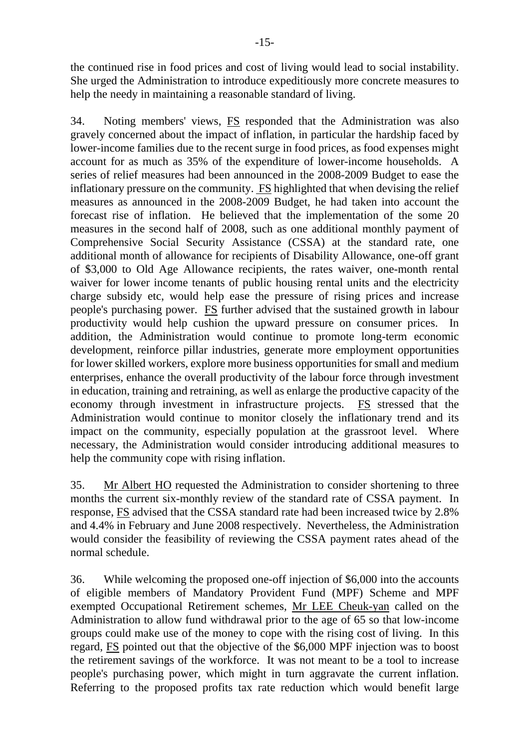the continued rise in food prices and cost of living would lead to social instability. She urged the Administration to introduce expeditiously more concrete measures to help the needy in maintaining a reasonable standard of living.

34. Noting members' views, FS responded that the Administration was also gravely concerned about the impact of inflation, in particular the hardship faced by lower-income families due to the recent surge in food prices, as food expenses might account for as much as 35% of the expenditure of lower-income households. A series of relief measures had been announced in the 2008-2009 Budget to ease the inflationary pressure on the community. FS highlighted that when devising the relief measures as announced in the 2008-2009 Budget, he had taken into account the forecast rise of inflation. He believed that the implementation of the some 20 measures in the second half of 2008, such as one additional monthly payment of Comprehensive Social Security Assistance (CSSA) at the standard rate, one additional month of allowance for recipients of Disability Allowance, one-off grant of \$3,000 to Old Age Allowance recipients, the rates waiver, one-month rental waiver for lower income tenants of public housing rental units and the electricity charge subsidy etc, would help ease the pressure of rising prices and increase people's purchasing power. FS further advised that the sustained growth in labour productivity would help cushion the upward pressure on consumer prices. In addition, the Administration would continue to promote long-term economic development, reinforce pillar industries, generate more employment opportunities for lower skilled workers, explore more business opportunities for small and medium enterprises, enhance the overall productivity of the labour force through investment in education, training and retraining, as well as enlarge the productive capacity of the economy through investment in infrastructure projects. FS stressed that the Administration would continue to monitor closely the inflationary trend and its impact on the community, especially population at the grassroot level. Where necessary, the Administration would consider introducing additional measures to help the community cope with rising inflation.

35. Mr Albert HO requested the Administration to consider shortening to three months the current six-monthly review of the standard rate of CSSA payment. In response, FS advised that the CSSA standard rate had been increased twice by 2.8% and 4.4% in February and June 2008 respectively. Nevertheless, the Administration would consider the feasibility of reviewing the CSSA payment rates ahead of the normal schedule.

36. While welcoming the proposed one-off injection of \$6,000 into the accounts of eligible members of Mandatory Provident Fund (MPF) Scheme and MPF exempted Occupational Retirement schemes, Mr LEE Cheuk-yan called on the Administration to allow fund withdrawal prior to the age of 65 so that low-income groups could make use of the money to cope with the rising cost of living. In this regard, FS pointed out that the objective of the \$6,000 MPF injection was to boost the retirement savings of the workforce. It was not meant to be a tool to increase people's purchasing power, which might in turn aggravate the current inflation. Referring to the proposed profits tax rate reduction which would benefit large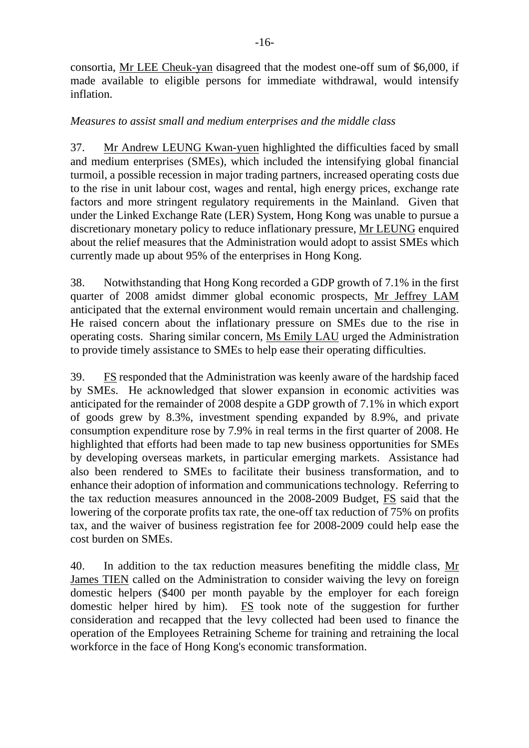consortia, Mr LEE Cheuk-yan disagreed that the modest one-off sum of \$6,000, if made available to eligible persons for immediate withdrawal, would intensify inflation.

### *Measures to assist small and medium enterprises and the middle class*

37. Mr Andrew LEUNG Kwan-yuen highlighted the difficulties faced by small and medium enterprises (SMEs), which included the intensifying global financial turmoil, a possible recession in major trading partners, increased operating costs due to the rise in unit labour cost, wages and rental, high energy prices, exchange rate factors and more stringent regulatory requirements in the Mainland. Given that under the Linked Exchange Rate (LER) System, Hong Kong was unable to pursue a discretionary monetary policy to reduce inflationary pressure, Mr LEUNG enquired about the relief measures that the Administration would adopt to assist SMEs which currently made up about 95% of the enterprises in Hong Kong.

38. Notwithstanding that Hong Kong recorded a GDP growth of 7.1% in the first quarter of 2008 amidst dimmer global economic prospects, Mr Jeffrey LAM anticipated that the external environment would remain uncertain and challenging. He raised concern about the inflationary pressure on SMEs due to the rise in operating costs. Sharing similar concern, Ms Emily LAU urged the Administration to provide timely assistance to SMEs to help ease their operating difficulties.

39. FS responded that the Administration was keenly aware of the hardship faced by SMEs. He acknowledged that slower expansion in economic activities was anticipated for the remainder of 2008 despite a GDP growth of 7.1% in which export of goods grew by 8.3%, investment spending expanded by 8.9%, and private consumption expenditure rose by 7.9% in real terms in the first quarter of 2008. He highlighted that efforts had been made to tap new business opportunities for SMEs by developing overseas markets, in particular emerging markets. Assistance had also been rendered to SMEs to facilitate their business transformation, and to enhance their adoption of information and communications technology. Referring to the tax reduction measures announced in the 2008-2009 Budget, FS said that the lowering of the corporate profits tax rate, the one-off tax reduction of 75% on profits tax, and the waiver of business registration fee for 2008-2009 could help ease the cost burden on SMEs.

40. In addition to the tax reduction measures benefiting the middle class, Mr James TIEN called on the Administration to consider waiving the levy on foreign domestic helpers (\$400 per month payable by the employer for each foreign domestic helper hired by him). FS took note of the suggestion for further consideration and recapped that the levy collected had been used to finance the operation of the Employees Retraining Scheme for training and retraining the local workforce in the face of Hong Kong's economic transformation.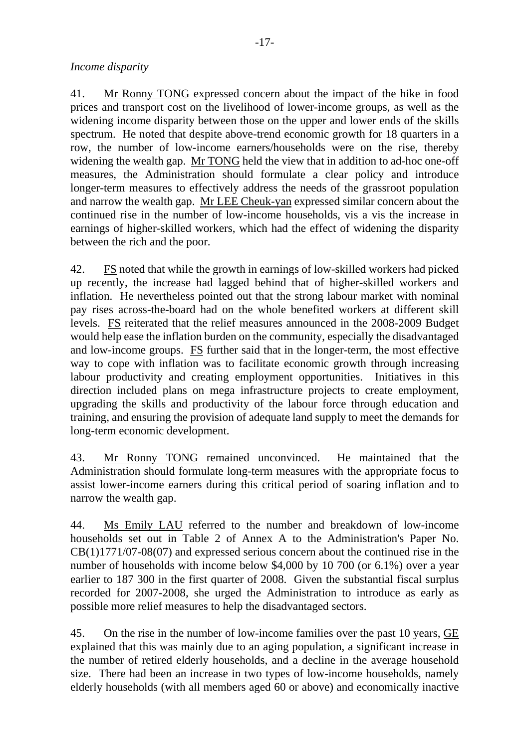## *Income disparity*

41. Mr Ronny TONG expressed concern about the impact of the hike in food prices and transport cost on the livelihood of lower-income groups, as well as the widening income disparity between those on the upper and lower ends of the skills spectrum. He noted that despite above-trend economic growth for 18 quarters in a row, the number of low-income earners/households were on the rise, thereby widening the wealth gap. Mr TONG held the view that in addition to ad-hoc one-off measures, the Administration should formulate a clear policy and introduce longer-term measures to effectively address the needs of the grassroot population and narrow the wealth gap. Mr LEE Cheuk-yan expressed similar concern about the continued rise in the number of low-income households, vis a vis the increase in earnings of higher-skilled workers, which had the effect of widening the disparity between the rich and the poor.

42. FS noted that while the growth in earnings of low-skilled workers had picked up recently, the increase had lagged behind that of higher-skilled workers and inflation. He nevertheless pointed out that the strong labour market with nominal pay rises across-the-board had on the whole benefited workers at different skill levels. FS reiterated that the relief measures announced in the 2008-2009 Budget would help ease the inflation burden on the community, especially the disadvantaged and low-income groups. FS further said that in the longer-term, the most effective way to cope with inflation was to facilitate economic growth through increasing labour productivity and creating employment opportunities. Initiatives in this direction included plans on mega infrastructure projects to create employment, upgrading the skills and productivity of the labour force through education and training, and ensuring the provision of adequate land supply to meet the demands for long-term economic development.

43. Mr Ronny TONG remained unconvinced. He maintained that the Administration should formulate long-term measures with the appropriate focus to assist lower-income earners during this critical period of soaring inflation and to narrow the wealth gap.

44. Ms Emily LAU referred to the number and breakdown of low-income households set out in Table 2 of Annex A to the Administration's Paper No. CB(1)1771/07-08(07) and expressed serious concern about the continued rise in the number of households with income below \$4,000 by 10 700 (or 6.1%) over a year earlier to 187 300 in the first quarter of 2008. Given the substantial fiscal surplus recorded for 2007-2008, she urged the Administration to introduce as early as possible more relief measures to help the disadvantaged sectors.

45. On the rise in the number of low-income families over the past 10 years, GE explained that this was mainly due to an aging population, a significant increase in the number of retired elderly households, and a decline in the average household size. There had been an increase in two types of low-income households, namely elderly households (with all members aged 60 or above) and economically inactive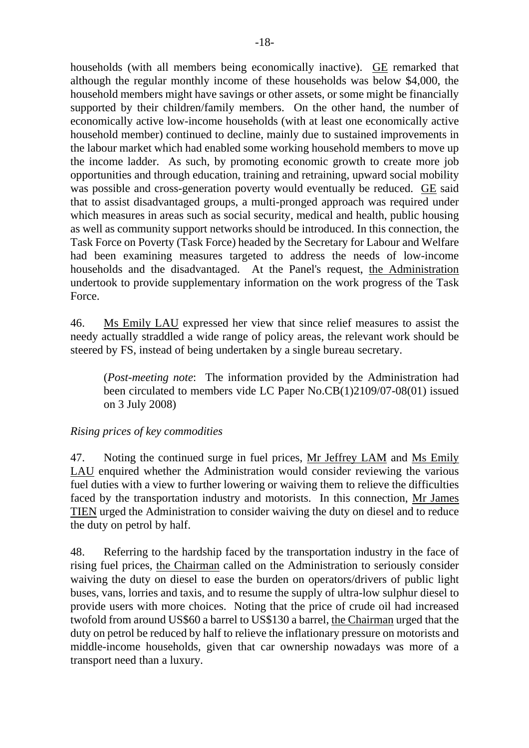households (with all members being economically inactive). GE remarked that although the regular monthly income of these households was below \$4,000, the household members might have savings or other assets, or some might be financially supported by their children/family members. On the other hand, the number of economically active low-income households (with at least one economically active household member) continued to decline, mainly due to sustained improvements in the labour market which had enabled some working household members to move up the income ladder. As such, by promoting economic growth to create more job opportunities and through education, training and retraining, upward social mobility was possible and cross-generation poverty would eventually be reduced. GE said that to assist disadvantaged groups, a multi-pronged approach was required under which measures in areas such as social security, medical and health, public housing as well as community support networks should be introduced. In this connection, the Task Force on Poverty (Task Force) headed by the Secretary for Labour and Welfare had been examining measures targeted to address the needs of low-income households and the disadvantaged. At the Panel's request, the Administration undertook to provide supplementary information on the work progress of the Task Force.

46. Ms Emily LAU expressed her view that since relief measures to assist the needy actually straddled a wide range of policy areas, the relevant work should be steered by FS, instead of being undertaken by a single bureau secretary.

(*Post-meeting note*: The information provided by the Administration had been circulated to members vide LC Paper No.CB(1)2109/07-08(01) issued on 3 July 2008)

## *Rising prices of key commodities*

47. Noting the continued surge in fuel prices, Mr Jeffrey LAM and Ms Emily LAU enquired whether the Administration would consider reviewing the various fuel duties with a view to further lowering or waiving them to relieve the difficulties faced by the transportation industry and motorists. In this connection, Mr James TIEN urged the Administration to consider waiving the duty on diesel and to reduce the duty on petrol by half.

48. Referring to the hardship faced by the transportation industry in the face of rising fuel prices, the Chairman called on the Administration to seriously consider waiving the duty on diesel to ease the burden on operators/drivers of public light buses, vans, lorries and taxis, and to resume the supply of ultra-low sulphur diesel to provide users with more choices. Noting that the price of crude oil had increased twofold from around US\$60 a barrel to US\$130 a barrel, the Chairman urged that the duty on petrol be reduced by half to relieve the inflationary pressure on motorists and middle-income households, given that car ownership nowadays was more of a transport need than a luxury.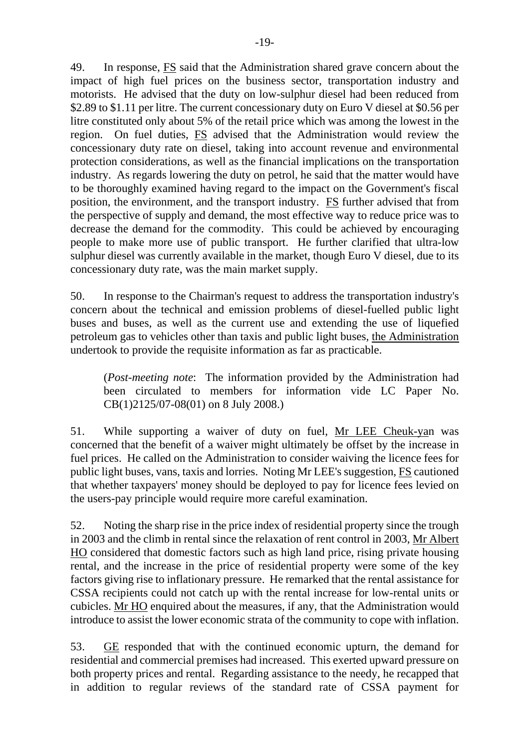49. In response, FS said that the Administration shared grave concern about the impact of high fuel prices on the business sector, transportation industry and motorists. He advised that the duty on low-sulphur diesel had been reduced from \$2.89 to \$1.11 per litre. The current concessionary duty on Euro V diesel at \$0.56 per litre constituted only about 5% of the retail price which was among the lowest in the region. On fuel duties, FS advised that the Administration would review the concessionary duty rate on diesel, taking into account revenue and environmental protection considerations, as well as the financial implications on the transportation industry. As regards lowering the duty on petrol, he said that the matter would have to be thoroughly examined having regard to the impact on the Government's fiscal position, the environment, and the transport industry. **FS** further advised that from the perspective of supply and demand, the most effective way to reduce price was to decrease the demand for the commodity. This could be achieved by encouraging people to make more use of public transport. He further clarified that ultra-low sulphur diesel was currently available in the market, though Euro V diesel, due to its concessionary duty rate, was the main market supply.

50. In response to the Chairman's request to address the transportation industry's concern about the technical and emission problems of diesel-fuelled public light buses and buses, as well as the current use and extending the use of liquefied petroleum gas to vehicles other than taxis and public light buses, the Administration undertook to provide the requisite information as far as practicable.

(*Post-meeting note*: The information provided by the Administration had been circulated to members for information vide LC Paper No. CB(1)2125/07-08(01) on 8 July 2008.)

51. While supporting a waiver of duty on fuel, Mr LEE Cheuk-yan was concerned that the benefit of a waiver might ultimately be offset by the increase in fuel prices. He called on the Administration to consider waiving the licence fees for public light buses, vans, taxis and lorries. Noting Mr LEE's suggestion, FS cautioned that whether taxpayers' money should be deployed to pay for licence fees levied on the users-pay principle would require more careful examination.

52. Noting the sharp rise in the price index of residential property since the trough in 2003 and the climb in rental since the relaxation of rent control in 2003, Mr Albert HO considered that domestic factors such as high land price, rising private housing rental, and the increase in the price of residential property were some of the key factors giving rise to inflationary pressure. He remarked that the rental assistance for CSSA recipients could not catch up with the rental increase for low-rental units or cubicles. Mr HO enquired about the measures, if any, that the Administration would introduce to assist the lower economic strata of the community to cope with inflation.

53. GE responded that with the continued economic upturn, the demand for residential and commercial premises had increased. This exerted upward pressure on both property prices and rental. Regarding assistance to the needy, he recapped that in addition to regular reviews of the standard rate of CSSA payment for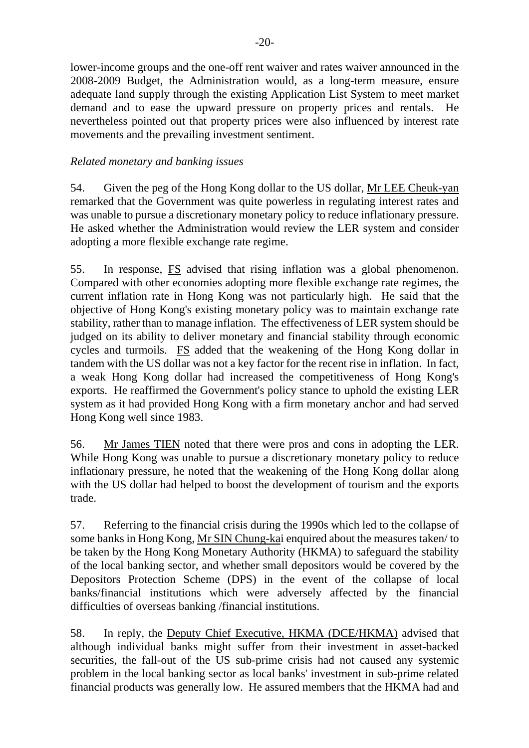lower-income groups and the one-off rent waiver and rates waiver announced in the 2008-2009 Budget, the Administration would, as a long-term measure, ensure adequate land supply through the existing Application List System to meet market demand and to ease the upward pressure on property prices and rentals. He nevertheless pointed out that property prices were also influenced by interest rate movements and the prevailing investment sentiment.

## *Related monetary and banking issues*

54. Given the peg of the Hong Kong dollar to the US dollar, Mr LEE Cheuk-yan remarked that the Government was quite powerless in regulating interest rates and was unable to pursue a discretionary monetary policy to reduce inflationary pressure. He asked whether the Administration would review the LER system and consider adopting a more flexible exchange rate regime.

55. In response, FS advised that rising inflation was a global phenomenon. Compared with other economies adopting more flexible exchange rate regimes, the current inflation rate in Hong Kong was not particularly high. He said that the objective of Hong Kong's existing monetary policy was to maintain exchange rate stability, rather than to manage inflation. The effectiveness of LER system should be judged on its ability to deliver monetary and financial stability through economic cycles and turmoils. FS added that the weakening of the Hong Kong dollar in tandem with the US dollar was not a key factor for the recent rise in inflation. In fact, a weak Hong Kong dollar had increased the competitiveness of Hong Kong's exports. He reaffirmed the Government's policy stance to uphold the existing LER system as it had provided Hong Kong with a firm monetary anchor and had served Hong Kong well since 1983.

56. Mr James TIEN noted that there were pros and cons in adopting the LER. While Hong Kong was unable to pursue a discretionary monetary policy to reduce inflationary pressure, he noted that the weakening of the Hong Kong dollar along with the US dollar had helped to boost the development of tourism and the exports trade.

57. Referring to the financial crisis during the 1990s which led to the collapse of some banks in Hong Kong, Mr SIN Chung-kai enquired about the measures taken/ to be taken by the Hong Kong Monetary Authority (HKMA) to safeguard the stability of the local banking sector, and whether small depositors would be covered by the Depositors Protection Scheme (DPS) in the event of the collapse of local banks/financial institutions which were adversely affected by the financial difficulties of overseas banking /financial institutions.

58. In reply, the Deputy Chief Executive, HKMA (DCE/HKMA) advised that although individual banks might suffer from their investment in asset-backed securities, the fall-out of the US sub-prime crisis had not caused any systemic problem in the local banking sector as local banks' investment in sub-prime related financial products was generally low. He assured members that the HKMA had and